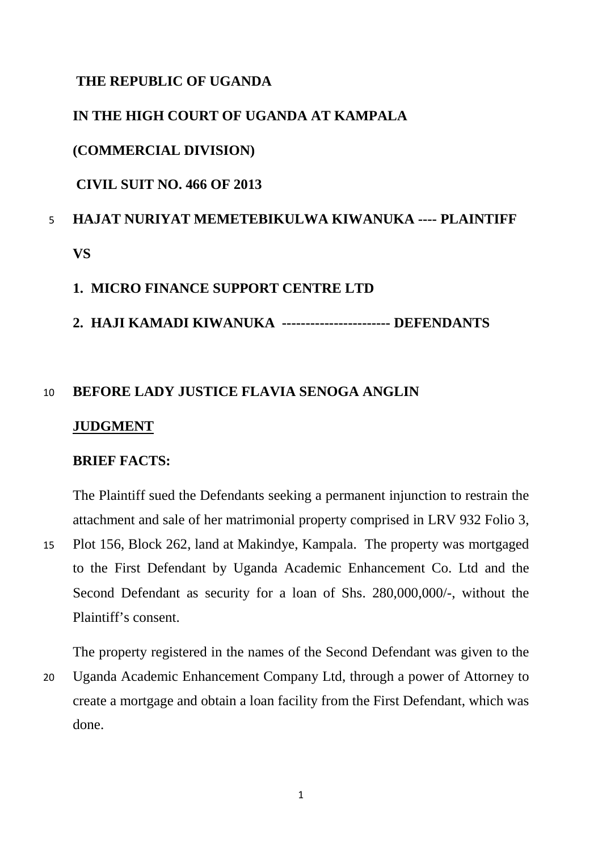## **THE REPUBLIC OF UGANDA**

# **IN THE HIGH COURT OF UGANDA AT KAMPALA**

### **(COMMERCIAL DIVISION)**

**CIVIL SUIT NO. 466 OF 2013**

# 5 **HAJAT NURIYAT MEMETEBIKULWA KIWANUKA ---- PLAINTIFF VS**

# **1. MICRO FINANCE SUPPORT CENTRE LTD**

**2. HAJI KAMADI KIWANUKA ----------------------- DEFENDANTS**

# 10 **BEFORE LADY JUSTICE FLAVIA SENOGA ANGLIN**

### **JUDGMENT**

### **BRIEF FACTS:**

The Plaintiff sued the Defendants seeking a permanent injunction to restrain the attachment and sale of her matrimonial property comprised in LRV 932 Folio 3,

15 Plot 156, Block 262, land at Makindye, Kampala. The property was mortgaged to the First Defendant by Uganda Academic Enhancement Co. Ltd and the Second Defendant as security for a loan of Shs. 280,000,000/-, without the Plaintiff's consent.

The property registered in the names of the Second Defendant was given to the 20 Uganda Academic Enhancement Company Ltd, through a power of Attorney to create a mortgage and obtain a loan facility from the First Defendant, which was done.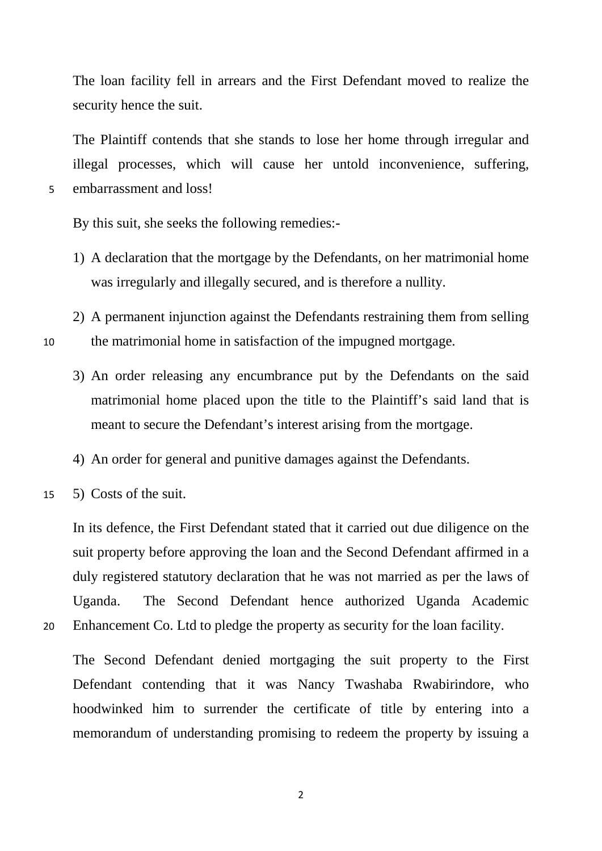The loan facility fell in arrears and the First Defendant moved to realize the security hence the suit.

The Plaintiff contends that she stands to lose her home through irregular and illegal processes, which will cause her untold inconvenience, suffering, 5 embarrassment and loss!

By this suit, she seeks the following remedies:-

- 1) A declaration that the mortgage by the Defendants, on her matrimonial home was irregularly and illegally secured, and is therefore a nullity.
- 2) A permanent injunction against the Defendants restraining them from selling 10 the matrimonial home in satisfaction of the impugned mortgage.
	- 3) An order releasing any encumbrance put by the Defendants on the said matrimonial home placed upon the title to the Plaintiff's said land that is meant to secure the Defendant's interest arising from the mortgage.
	- 4) An order for general and punitive damages against the Defendants.
- 15 5) Costs of the suit.

In its defence, the First Defendant stated that it carried out due diligence on the suit property before approving the loan and the Second Defendant affirmed in a duly registered statutory declaration that he was not married as per the laws of Uganda. The Second Defendant hence authorized Uganda Academic 20 Enhancement Co. Ltd to pledge the property as security for the loan facility.

The Second Defendant denied mortgaging the suit property to the First Defendant contending that it was Nancy Twashaba Rwabirindore, who hoodwinked him to surrender the certificate of title by entering into a memorandum of understanding promising to redeem the property by issuing a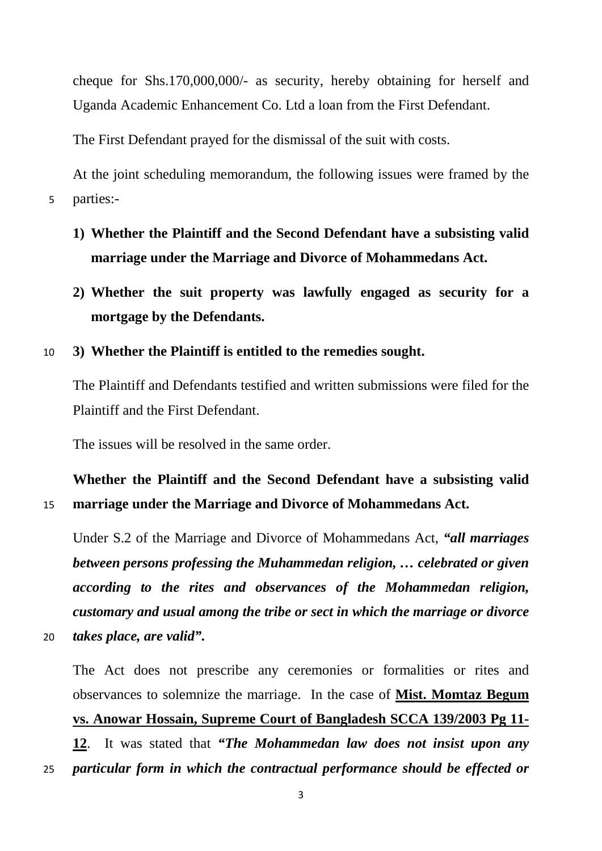cheque for Shs.170,000,000/- as security, hereby obtaining for herself and Uganda Academic Enhancement Co. Ltd a loan from the First Defendant.

The First Defendant prayed for the dismissal of the suit with costs.

At the joint scheduling memorandum, the following issues were framed by the 5 parties:-

- **1) Whether the Plaintiff and the Second Defendant have a subsisting valid marriage under the Marriage and Divorce of Mohammedans Act.**
- **2) Whether the suit property was lawfully engaged as security for a mortgage by the Defendants.**

## 10 **3) Whether the Plaintiff is entitled to the remedies sought.**

The Plaintiff and Defendants testified and written submissions were filed for the Plaintiff and the First Defendant.

The issues will be resolved in the same order.

**Whether the Plaintiff and the Second Defendant have a subsisting valid**  15 **marriage under the Marriage and Divorce of Mohammedans Act.**

Under S.2 of the Marriage and Divorce of Mohammedans Act, *"all marriages between persons professing the Muhammedan religion, … celebrated or given according to the rites and observances of the Mohammedan religion, customary and usual among the tribe or sect in which the marriage or divorce*  20 *takes place, are valid".*

The Act does not prescribe any ceremonies or formalities or rites and observances to solemnize the marriage. In the case of **Mist. Momtaz Begum vs. Anowar Hossain, Supreme Court of Bangladesh SCCA 139/2003 Pg 11- 12**. It was stated that *"The Mohammedan law does not insist upon any*  25 *particular form in which the contractual performance should be effected or*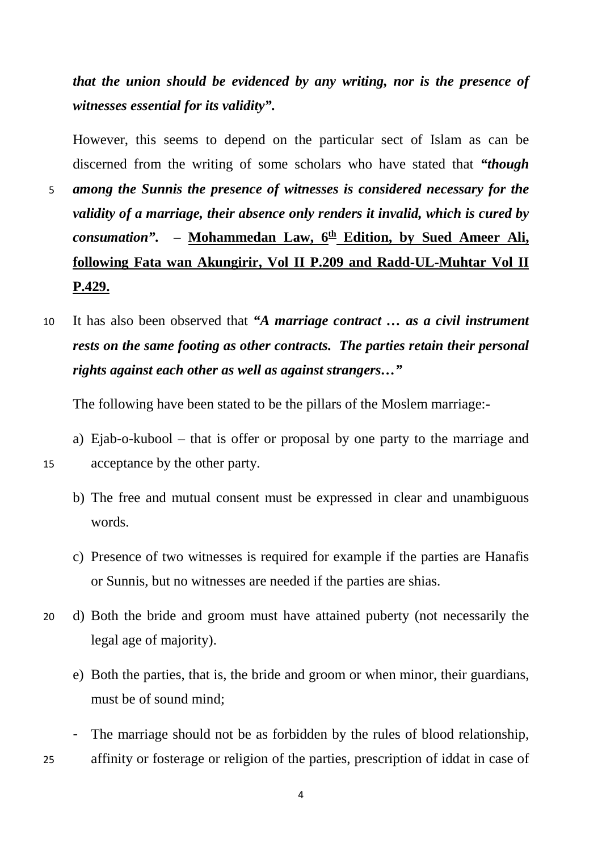*that the union should be evidenced by any writing, nor is the presence of witnesses essential for its validity".*

However, this seems to depend on the particular sect of Islam as can be discerned from the writing of some scholars who have stated that *"though* 

- 5 *among the Sunnis the presence of witnesses is considered necessary for the validity of a marriage, their absence only renders it invalid, which is cured by consumation".* – Mohammedan Law,  $6^{\text{th}}$  Edition, by Sued Ameer Ali, **following Fata wan Akungirir, Vol II P.209 and Radd-UL-Muhtar Vol II P.429.**
- 10 It has also been observed that *"A marriage contract … as a civil instrument rests on the same footing as other contracts. The parties retain their personal rights against each other as well as against strangers…"*

The following have been stated to be the pillars of the Moslem marriage:-

a) Ejab-o-kubool – that is offer or proposal by one party to the marriage and 15 acceptance by the other party.

- b) The free and mutual consent must be expressed in clear and unambiguous words.
- c) Presence of two witnesses is required for example if the parties are Hanafis or Sunnis, but no witnesses are needed if the parties are shias.
- 20 d) Both the bride and groom must have attained puberty (not necessarily the legal age of majority).
	- e) Both the parties, that is, the bride and groom or when minor, their guardians, must be of sound mind;
- The marriage should not be as forbidden by the rules of blood relationship, 25 affinity or fosterage or religion of the parties, prescription of iddat in case of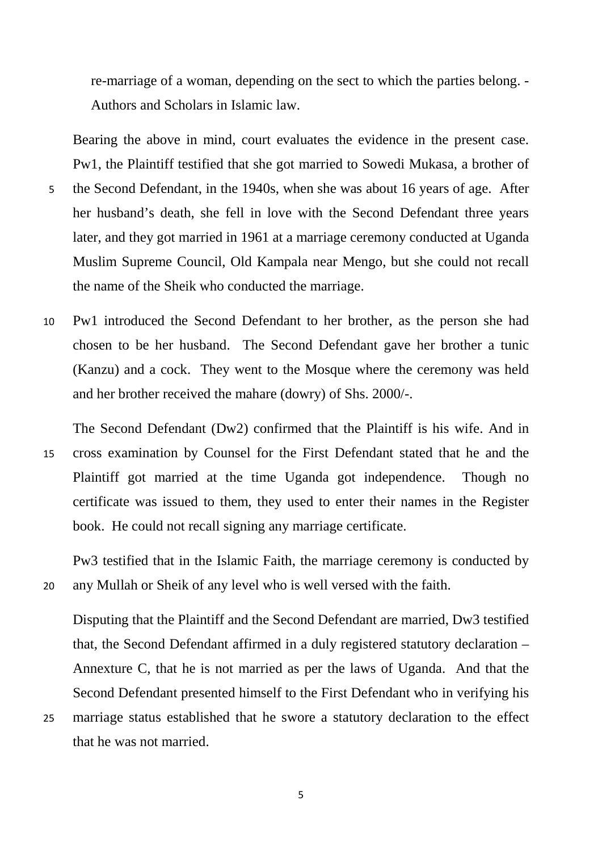re-marriage of a woman, depending on the sect to which the parties belong. - Authors and Scholars in Islamic law.

Bearing the above in mind, court evaluates the evidence in the present case. Pw1, the Plaintiff testified that she got married to Sowedi Mukasa, a brother of

- 5 the Second Defendant, in the 1940s, when she was about 16 years of age. After her husband's death, she fell in love with the Second Defendant three years later, and they got married in 1961 at a marriage ceremony conducted at Uganda Muslim Supreme Council, Old Kampala near Mengo, but she could not recall the name of the Sheik who conducted the marriage.
- 10 Pw1 introduced the Second Defendant to her brother, as the person she had chosen to be her husband. The Second Defendant gave her brother a tunic (Kanzu) and a cock. They went to the Mosque where the ceremony was held and her brother received the mahare (dowry) of Shs. 2000/-.

The Second Defendant (Dw2) confirmed that the Plaintiff is his wife. And in 15 cross examination by Counsel for the First Defendant stated that he and the Plaintiff got married at the time Uganda got independence. Though no certificate was issued to them, they used to enter their names in the Register book. He could not recall signing any marriage certificate.

Pw3 testified that in the Islamic Faith, the marriage ceremony is conducted by 20 any Mullah or Sheik of any level who is well versed with the faith.

Disputing that the Plaintiff and the Second Defendant are married, Dw3 testified that, the Second Defendant affirmed in a duly registered statutory declaration – Annexture C, that he is not married as per the laws of Uganda. And that the Second Defendant presented himself to the First Defendant who in verifying his

25 marriage status established that he swore a statutory declaration to the effect that he was not married.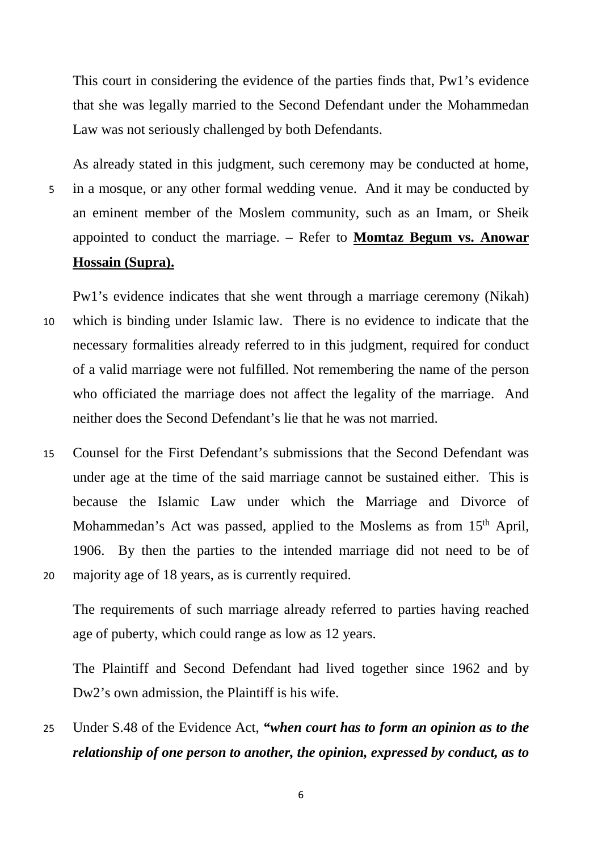This court in considering the evidence of the parties finds that, Pw1's evidence that she was legally married to the Second Defendant under the Mohammedan Law was not seriously challenged by both Defendants.

As already stated in this judgment, such ceremony may be conducted at home, 5 in a mosque, or any other formal wedding venue. And it may be conducted by an eminent member of the Moslem community, such as an Imam, or Sheik appointed to conduct the marriage. – Refer to **Momtaz Begum vs. Anowar Hossain (Supra).**

Pw1's evidence indicates that she went through a marriage ceremony (Nikah) 10 which is binding under Islamic law. There is no evidence to indicate that the necessary formalities already referred to in this judgment, required for conduct of a valid marriage were not fulfilled. Not remembering the name of the person who officiated the marriage does not affect the legality of the marriage. And neither does the Second Defendant's lie that he was not married.

15 Counsel for the First Defendant's submissions that the Second Defendant was under age at the time of the said marriage cannot be sustained either. This is because the Islamic Law under which the Marriage and Divorce of Mohammedan's Act was passed, applied to the Moslems as from 15<sup>th</sup> April, 1906. By then the parties to the intended marriage did not need to be of 20 majority age of 18 years, as is currently required.

The requirements of such marriage already referred to parties having reached age of puberty, which could range as low as 12 years.

The Plaintiff and Second Defendant had lived together since 1962 and by Dw2's own admission, the Plaintiff is his wife.

25 Under S.48 of the Evidence Act, *"when court has to form an opinion as to the relationship of one person to another, the opinion, expressed by conduct, as to*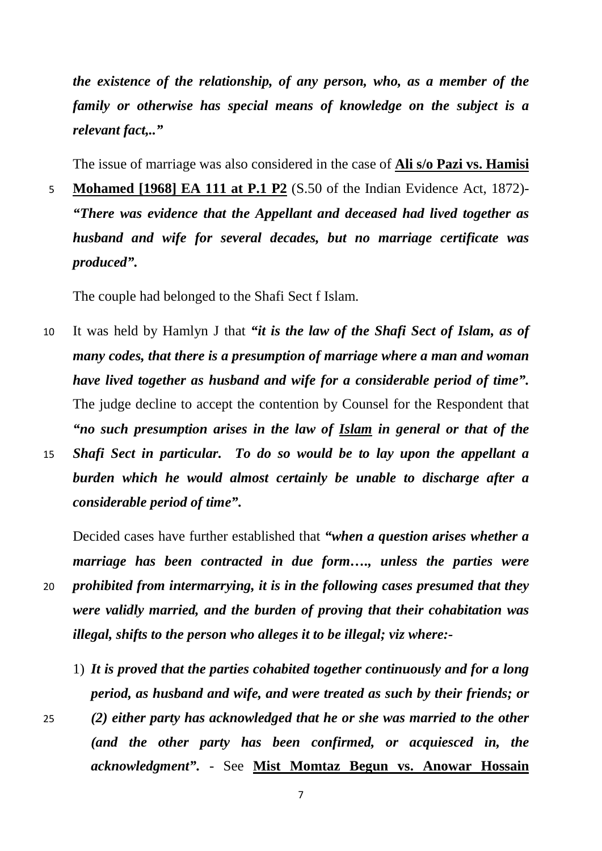*the existence of the relationship, of any person, who, as a member of the family or otherwise has special means of knowledge on the subject is a relevant fact,.."*

The issue of marriage was also considered in the case of **Ali s/o Pazi vs. Hamisi** 

5 **Mohamed [1968] EA 111 at P.1 P2** (S.50 of the Indian Evidence Act, 1872)- *"There was evidence that the Appellant and deceased had lived together as husband and wife for several decades, but no marriage certificate was produced".*

The couple had belonged to the Shafi Sect f Islam.

- 10 It was held by Hamlyn J that *"it is the law of the Shafi Sect of Islam, as of many codes, that there is a presumption of marriage where a man and woman have lived together as husband and wife for a considerable period of time".*  The judge decline to accept the contention by Counsel for the Respondent that *"no such presumption arises in the law of Islam in general or that of the*  15 *Shafi Sect in particular. To do so would be to lay upon the appellant a*
- *burden which he would almost certainly be unable to discharge after a considerable period of time".*

Decided cases have further established that *"when a question arises whether a marriage has been contracted in due form…., unless the parties were*  20 *prohibited from intermarrying, it is in the following cases presumed that they were validly married, and the burden of proving that their cohabitation was illegal, shifts to the person who alleges it to be illegal; viz where:-*

- 1) *It is proved that the parties cohabited together continuously and for a long period, as husband and wife, and were treated as such by their friends; or*
- 25 *(2) either party has acknowledged that he or she was married to the other (and the other party has been confirmed, or acquiesced in, the acknowledgment".* - See **Mist Momtaz Begun vs. Anowar Hossain**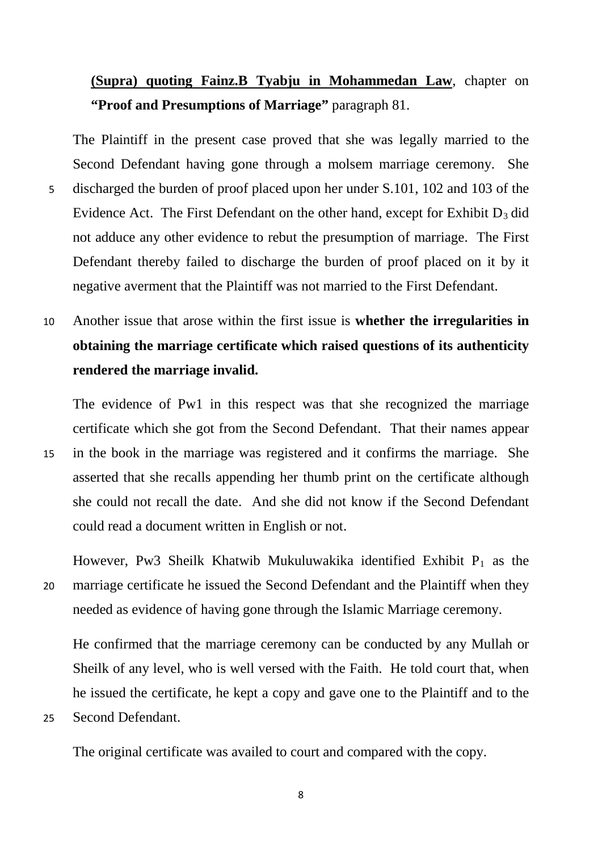# **(Supra) quoting Fainz.B Tyabju in Mohammedan Law**, chapter on **"Proof and Presumptions of Marriage"** paragraph 81.

The Plaintiff in the present case proved that she was legally married to the Second Defendant having gone through a molsem marriage ceremony. She 5 discharged the burden of proof placed upon her under S.101, 102 and 103 of the Evidence Act. The First Defendant on the other hand, except for Exhibit  $D_3$  did not adduce any other evidence to rebut the presumption of marriage. The First Defendant thereby failed to discharge the burden of proof placed on it by it negative averment that the Plaintiff was not married to the First Defendant.

10 Another issue that arose within the first issue is **whether the irregularities in obtaining the marriage certificate which raised questions of its authenticity rendered the marriage invalid.**

The evidence of Pw1 in this respect was that she recognized the marriage certificate which she got from the Second Defendant. That their names appear 15 in the book in the marriage was registered and it confirms the marriage. She asserted that she recalls appending her thumb print on the certificate although

she could not recall the date. And she did not know if the Second Defendant could read a document written in English or not.

However, Pw3 Sheilk Khatwib Mukuluwakika identified Exhibit  $P_1$  as the 20 marriage certificate he issued the Second Defendant and the Plaintiff when they needed as evidence of having gone through the Islamic Marriage ceremony.

He confirmed that the marriage ceremony can be conducted by any Mullah or Sheilk of any level, who is well versed with the Faith. He told court that, when he issued the certificate, he kept a copy and gave one to the Plaintiff and to the

25 Second Defendant.

The original certificate was availed to court and compared with the copy.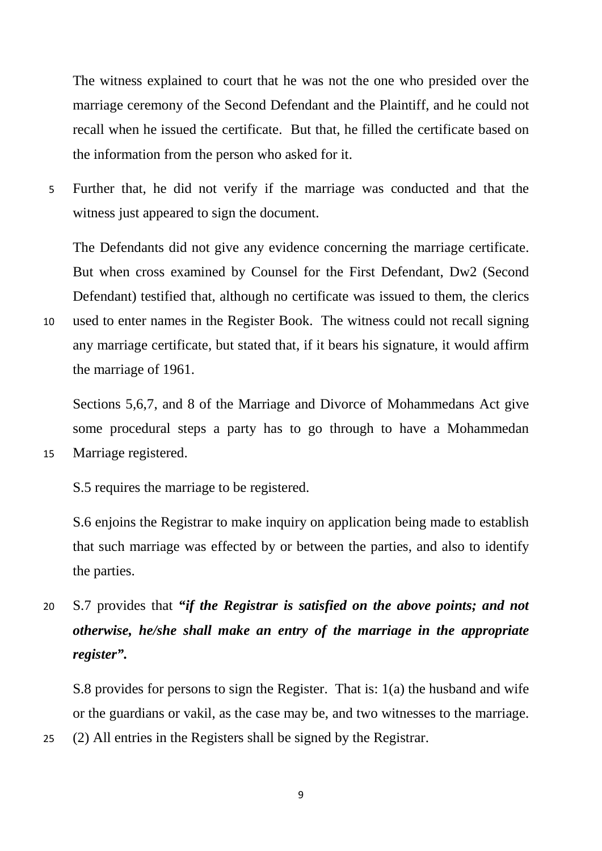The witness explained to court that he was not the one who presided over the marriage ceremony of the Second Defendant and the Plaintiff, and he could not recall when he issued the certificate. But that, he filled the certificate based on the information from the person who asked for it.

5 Further that, he did not verify if the marriage was conducted and that the witness just appeared to sign the document.

The Defendants did not give any evidence concerning the marriage certificate. But when cross examined by Counsel for the First Defendant, Dw2 (Second Defendant) testified that, although no certificate was issued to them, the clerics

10 used to enter names in the Register Book. The witness could not recall signing any marriage certificate, but stated that, if it bears his signature, it would affirm the marriage of 1961.

Sections 5,6,7, and 8 of the Marriage and Divorce of Mohammedans Act give some procedural steps a party has to go through to have a Mohammedan 15 Marriage registered.

S.5 requires the marriage to be registered.

S.6 enjoins the Registrar to make inquiry on application being made to establish that such marriage was effected by or between the parties, and also to identify the parties.

20 S.7 provides that *"if the Registrar is satisfied on the above points; and not otherwise, he/she shall make an entry of the marriage in the appropriate register".*

S.8 provides for persons to sign the Register. That is: 1(a) the husband and wife or the guardians or vakil, as the case may be, and two witnesses to the marriage.

25 (2) All entries in the Registers shall be signed by the Registrar.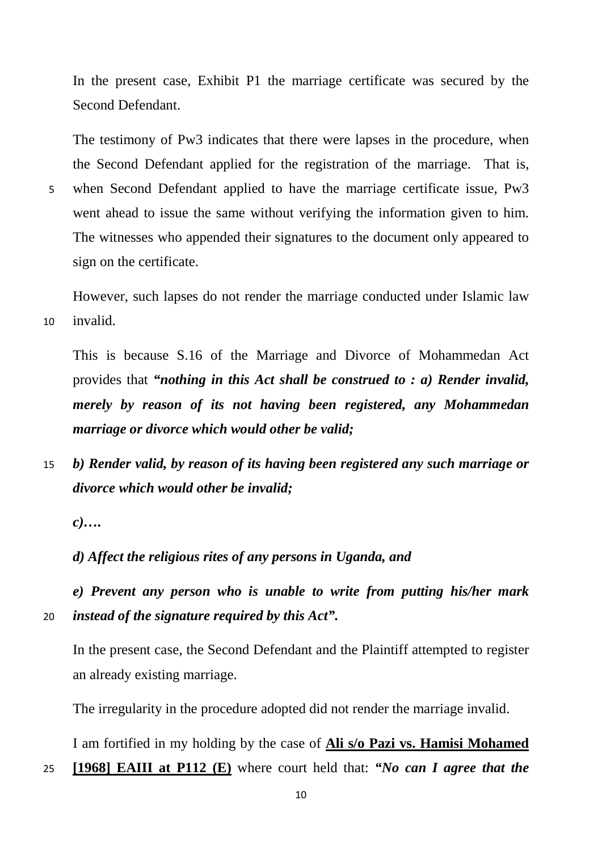In the present case, Exhibit P1 the marriage certificate was secured by the Second Defendant.

The testimony of Pw3 indicates that there were lapses in the procedure, when the Second Defendant applied for the registration of the marriage. That is,

5 when Second Defendant applied to have the marriage certificate issue, Pw3 went ahead to issue the same without verifying the information given to him. The witnesses who appended their signatures to the document only appeared to sign on the certificate.

However, such lapses do not render the marriage conducted under Islamic law 10 invalid.

This is because S.16 of the Marriage and Divorce of Mohammedan Act provides that *"nothing in this Act shall be construed to : a) Render invalid, merely by reason of its not having been registered, any Mohammedan marriage or divorce which would other be valid;* 

15 *b) Render valid, by reason of its having been registered any such marriage or divorce which would other be invalid;*

*c)….*

*d) Affect the religious rites of any persons in Uganda, and* 

*e) Prevent any person who is unable to write from putting his/her mark*  20 *instead of the signature required by this Act".*

In the present case, the Second Defendant and the Plaintiff attempted to register an already existing marriage.

The irregularity in the procedure adopted did not render the marriage invalid.

I am fortified in my holding by the case of **Ali s/o Pazi vs. Hamisi Mohamed** 

25 **[1968] EAIII at P112 (E)** where court held that: *"No can I agree that the*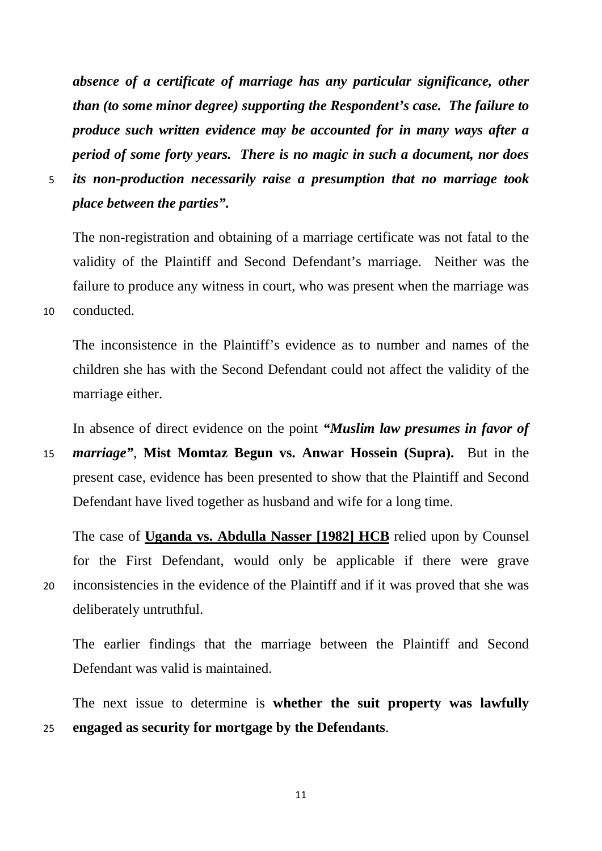*absence of a certificate of marriage has any particular significance, other than (to some minor degree) supporting the Respondent's case. The failure to produce such written evidence may be accounted for in many ways after a period of some forty years. There is no magic in such a document, nor does* 

5 *its non-production necessarily raise a presumption that no marriage took place between the parties".*

The non-registration and obtaining of a marriage certificate was not fatal to the validity of the Plaintiff and Second Defendant's marriage. Neither was the failure to produce any witness in court, who was present when the marriage was 10 conducted.

The inconsistence in the Plaintiff's evidence as to number and names of the children she has with the Second Defendant could not affect the validity of the marriage either.

In absence of direct evidence on the point *"Muslim law presumes in favor of* 

15 *marriage"*, **Mist Momtaz Begun vs. Anwar Hossein (Supra).** But in the present case, evidence has been presented to show that the Plaintiff and Second Defendant have lived together as husband and wife for a long time.

The case of **Uganda vs. Abdulla Nasser [1982] HCB** relied upon by Counsel for the First Defendant, would only be applicable if there were grave 20 inconsistencies in the evidence of the Plaintiff and if it was proved that she was deliberately untruthful.

The earlier findings that the marriage between the Plaintiff and Second Defendant was valid is maintained.

The next issue to determine is **whether the suit property was lawfully**  25 **engaged as security for mortgage by the Defendants**.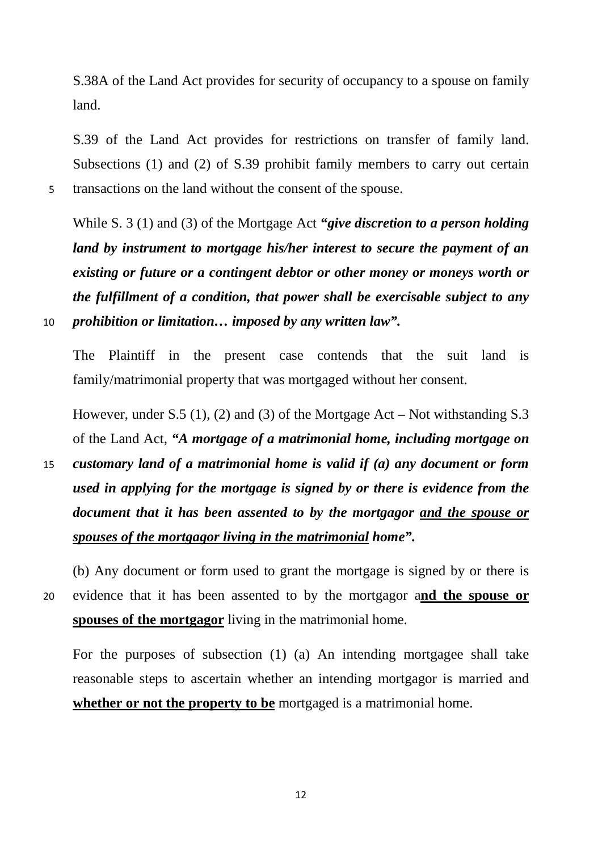S.38A of the Land Act provides for security of occupancy to a spouse on family land.

S.39 of the Land Act provides for restrictions on transfer of family land. Subsections (1) and (2) of S.39 prohibit family members to carry out certain 5 transactions on the land without the consent of the spouse.

While S. 3 (1) and (3) of the Mortgage Act *"give discretion to a person holding land by instrument to mortgage his/her interest to secure the payment of an existing or future or a contingent debtor or other money or moneys worth or the fulfillment of a condition, that power shall be exercisable subject to any*  10 *prohibition or limitation… imposed by any written law".*

The Plaintiff in the present case contends that the suit land is family/matrimonial property that was mortgaged without her consent.

However, under S.5 (1), (2) and (3) of the Mortgage Act – Not withstanding S.3 of the Land Act, *"A mortgage of a matrimonial home, including mortgage on* 

15 *customary land of a matrimonial home is valid if (a) any document or form used in applying for the mortgage is signed by or there is evidence from the document that it has been assented to by the mortgagor and the spouse or spouses of the mortgagor living in the matrimonial home".*

(b) Any document or form used to grant the mortgage is signed by or there is 20 evidence that it has been assented to by the mortgagor a**nd the spouse or spouses of the mortgagor** living in the matrimonial home.

For the purposes of subsection (1) (a) An intending mortgagee shall take reasonable steps to ascertain whether an intending mortgagor is married and **whether or not the property to be** mortgaged is a matrimonial home.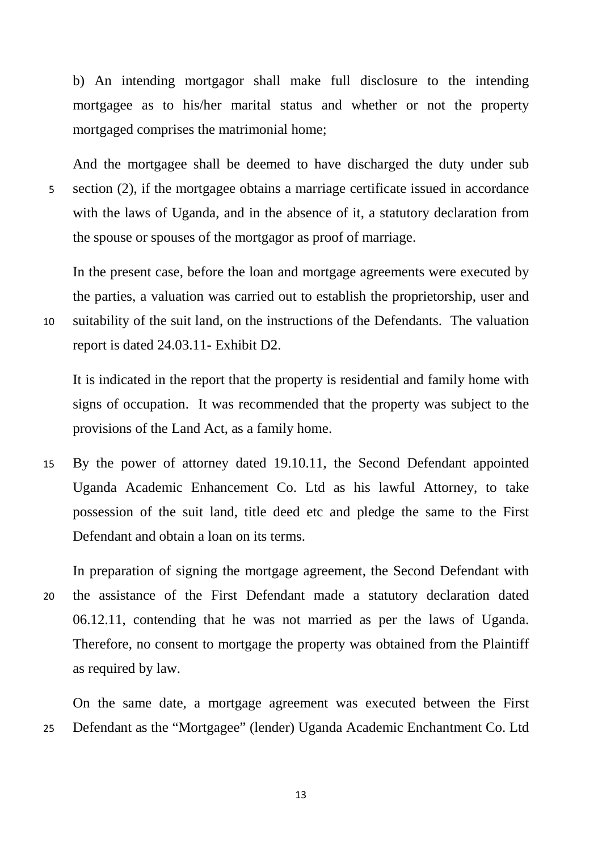b) An intending mortgagor shall make full disclosure to the intending mortgagee as to his/her marital status and whether or not the property mortgaged comprises the matrimonial home;

And the mortgagee shall be deemed to have discharged the duty under sub 5 section (2), if the mortgagee obtains a marriage certificate issued in accordance with the laws of Uganda, and in the absence of it, a statutory declaration from the spouse or spouses of the mortgagor as proof of marriage.

In the present case, before the loan and mortgage agreements were executed by the parties, a valuation was carried out to establish the proprietorship, user and 10 suitability of the suit land, on the instructions of the Defendants. The valuation

report is dated 24.03.11- Exhibit D2.

It is indicated in the report that the property is residential and family home with signs of occupation. It was recommended that the property was subject to the provisions of the Land Act, as a family home.

15 By the power of attorney dated 19.10.11, the Second Defendant appointed Uganda Academic Enhancement Co. Ltd as his lawful Attorney, to take possession of the suit land, title deed etc and pledge the same to the First Defendant and obtain a loan on its terms.

In preparation of signing the mortgage agreement, the Second Defendant with 20 the assistance of the First Defendant made a statutory declaration dated 06.12.11, contending that he was not married as per the laws of Uganda. Therefore, no consent to mortgage the property was obtained from the Plaintiff as required by law.

On the same date, a mortgage agreement was executed between the First 25 Defendant as the "Mortgagee" (lender) Uganda Academic Enchantment Co. Ltd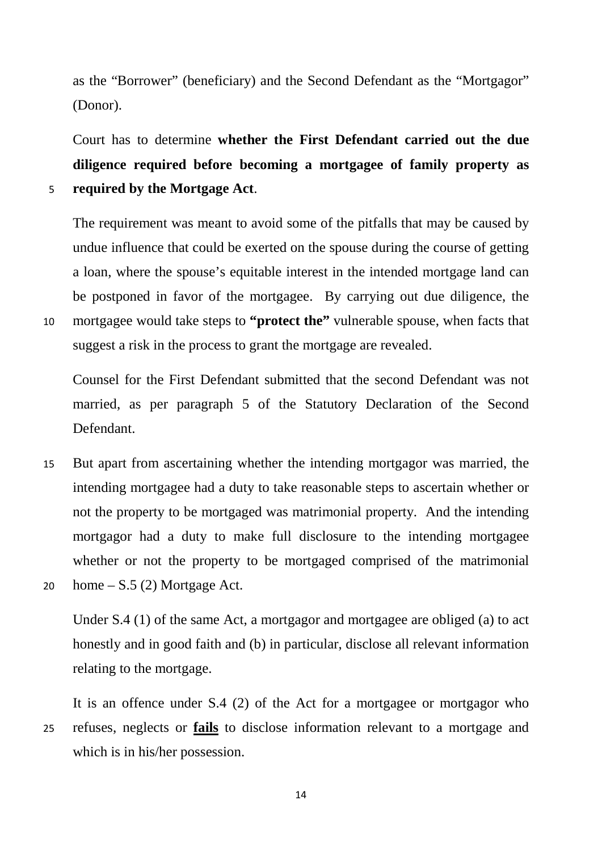as the "Borrower" (beneficiary) and the Second Defendant as the "Mortgagor" (Donor).

Court has to determine **whether the First Defendant carried out the due diligence required before becoming a mortgagee of family property as**  5 **required by the Mortgage Act**.

The requirement was meant to avoid some of the pitfalls that may be caused by undue influence that could be exerted on the spouse during the course of getting a loan, where the spouse's equitable interest in the intended mortgage land can be postponed in favor of the mortgagee. By carrying out due diligence, the 10 mortgagee would take steps to **"protect the"** vulnerable spouse, when facts that suggest a risk in the process to grant the mortgage are revealed.

Counsel for the First Defendant submitted that the second Defendant was not married, as per paragraph 5 of the Statutory Declaration of the Second Defendant.

15 But apart from ascertaining whether the intending mortgagor was married, the intending mortgagee had a duty to take reasonable steps to ascertain whether or not the property to be mortgaged was matrimonial property. And the intending mortgagor had a duty to make full disclosure to the intending mortgagee whether or not the property to be mortgaged comprised of the matrimonial 20 home  $- S.5 (2)$  Mortgage Act.

Under S.4 (1) of the same Act, a mortgagor and mortgagee are obliged (a) to act honestly and in good faith and (b) in particular, disclose all relevant information relating to the mortgage.

It is an offence under S.4 (2) of the Act for a mortgagee or mortgagor who 25 refuses, neglects or **fails** to disclose information relevant to a mortgage and which is in his/her possession.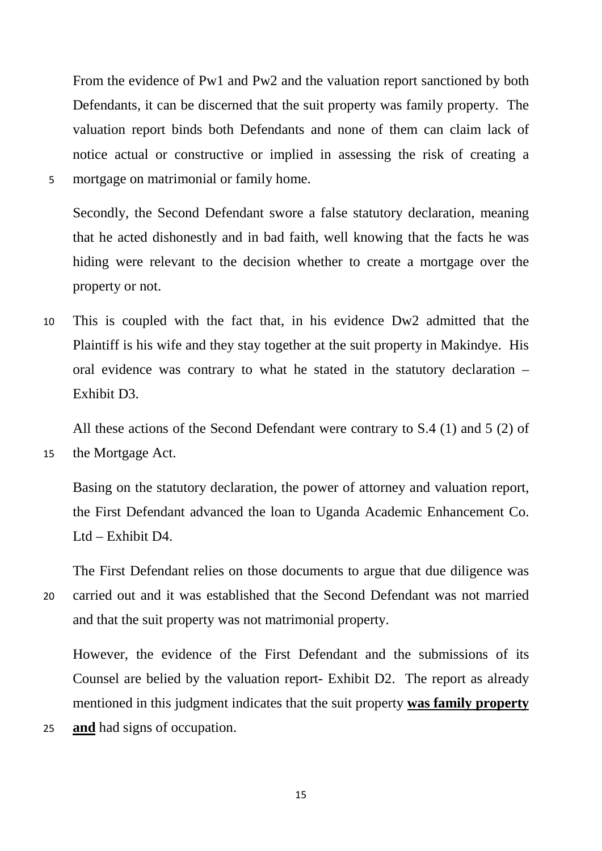From the evidence of Pw1 and Pw2 and the valuation report sanctioned by both Defendants, it can be discerned that the suit property was family property. The valuation report binds both Defendants and none of them can claim lack of notice actual or constructive or implied in assessing the risk of creating a 5 mortgage on matrimonial or family home.

Secondly, the Second Defendant swore a false statutory declaration, meaning that he acted dishonestly and in bad faith, well knowing that the facts he was hiding were relevant to the decision whether to create a mortgage over the property or not.

10 This is coupled with the fact that, in his evidence Dw2 admitted that the Plaintiff is his wife and they stay together at the suit property in Makindye. His oral evidence was contrary to what he stated in the statutory declaration – Exhibit D3.

All these actions of the Second Defendant were contrary to S.4 (1) and 5 (2) of

15 the Mortgage Act.

Basing on the statutory declaration, the power of attorney and valuation report, the First Defendant advanced the loan to Uganda Academic Enhancement Co. Ltd – Exhibit D4.

The First Defendant relies on those documents to argue that due diligence was 20 carried out and it was established that the Second Defendant was not married and that the suit property was not matrimonial property.

However, the evidence of the First Defendant and the submissions of its Counsel are belied by the valuation report- Exhibit D2. The report as already mentioned in this judgment indicates that the suit property **was family property** 

25 **and** had signs of occupation.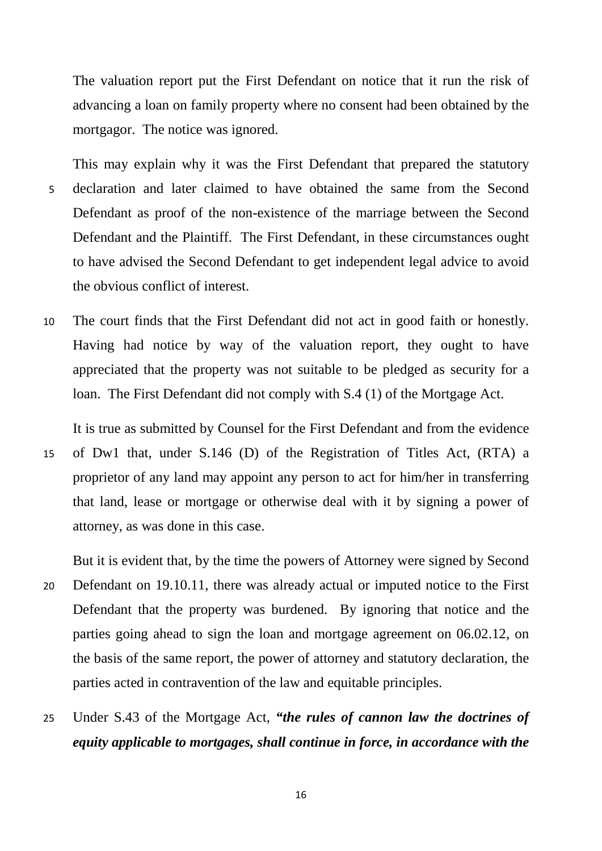The valuation report put the First Defendant on notice that it run the risk of advancing a loan on family property where no consent had been obtained by the mortgagor. The notice was ignored.

This may explain why it was the First Defendant that prepared the statutory 5 declaration and later claimed to have obtained the same from the Second Defendant as proof of the non-existence of the marriage between the Second Defendant and the Plaintiff. The First Defendant, in these circumstances ought to have advised the Second Defendant to get independent legal advice to avoid the obvious conflict of interest.

10 The court finds that the First Defendant did not act in good faith or honestly. Having had notice by way of the valuation report, they ought to have appreciated that the property was not suitable to be pledged as security for a loan. The First Defendant did not comply with S.4 (1) of the Mortgage Act.

It is true as submitted by Counsel for the First Defendant and from the evidence 15 of Dw1 that, under S.146 (D) of the Registration of Titles Act, (RTA) a proprietor of any land may appoint any person to act for him/her in transferring that land, lease or mortgage or otherwise deal with it by signing a power of attorney, as was done in this case.

But it is evident that, by the time the powers of Attorney were signed by Second 20 Defendant on 19.10.11, there was already actual or imputed notice to the First Defendant that the property was burdened. By ignoring that notice and the parties going ahead to sign the loan and mortgage agreement on 06.02.12, on the basis of the same report, the power of attorney and statutory declaration, the parties acted in contravention of the law and equitable principles.

25 Under S.43 of the Mortgage Act, *"the rules of cannon law the doctrines of equity applicable to mortgages, shall continue in force, in accordance with the*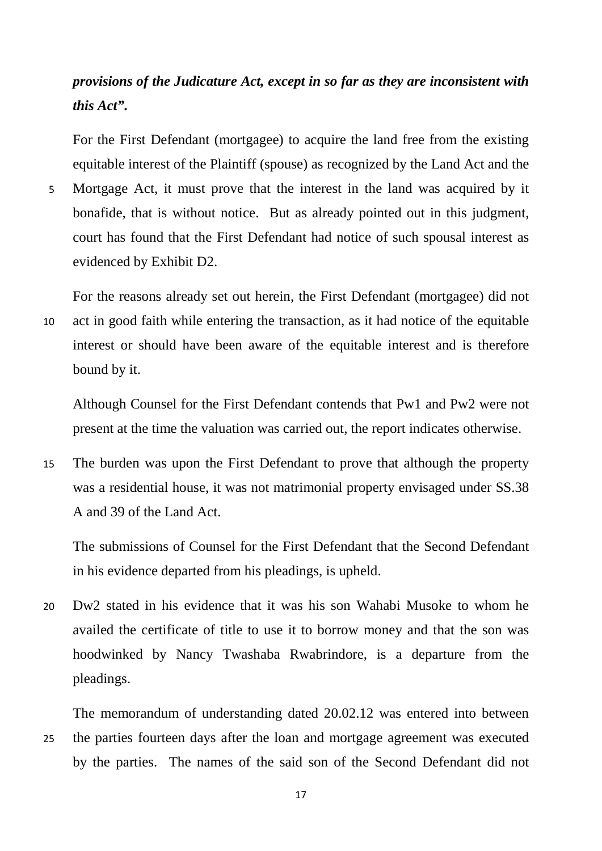# *provisions of the Judicature Act, except in so far as they are inconsistent with this Act".*

For the First Defendant (mortgagee) to acquire the land free from the existing equitable interest of the Plaintiff (spouse) as recognized by the Land Act and the

5 Mortgage Act, it must prove that the interest in the land was acquired by it bonafide, that is without notice. But as already pointed out in this judgment, court has found that the First Defendant had notice of such spousal interest as evidenced by Exhibit D2.

For the reasons already set out herein, the First Defendant (mortgagee) did not 10 act in good faith while entering the transaction, as it had notice of the equitable interest or should have been aware of the equitable interest and is therefore bound by it.

Although Counsel for the First Defendant contends that Pw1 and Pw2 were not present at the time the valuation was carried out, the report indicates otherwise.

15 The burden was upon the First Defendant to prove that although the property was a residential house, it was not matrimonial property envisaged under SS.38 A and 39 of the Land Act.

The submissions of Counsel for the First Defendant that the Second Defendant in his evidence departed from his pleadings, is upheld.

20 Dw2 stated in his evidence that it was his son Wahabi Musoke to whom he availed the certificate of title to use it to borrow money and that the son was hoodwinked by Nancy Twashaba Rwabrindore, is a departure from the pleadings.

The memorandum of understanding dated 20.02.12 was entered into between 25 the parties fourteen days after the loan and mortgage agreement was executed by the parties. The names of the said son of the Second Defendant did not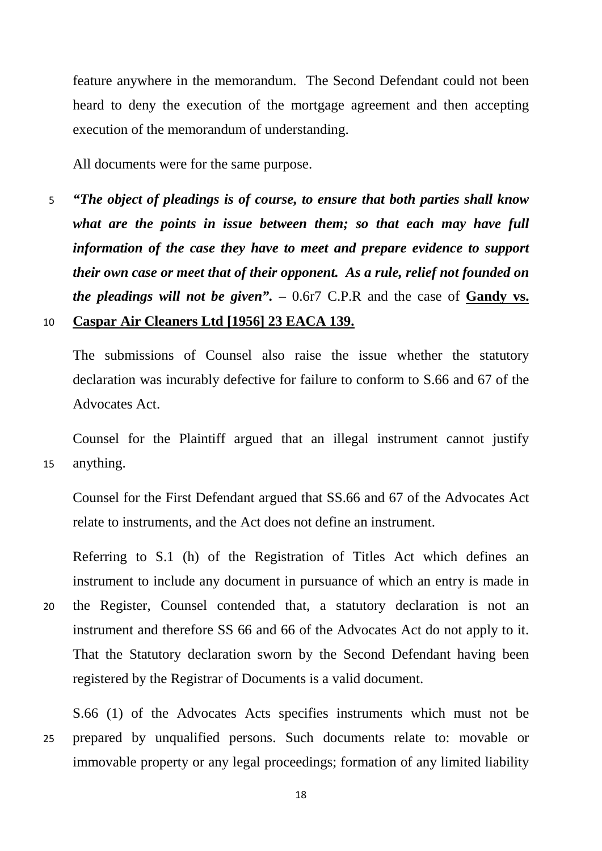feature anywhere in the memorandum. The Second Defendant could not been heard to deny the execution of the mortgage agreement and then accepting execution of the memorandum of understanding.

All documents were for the same purpose.

5 *"The object of pleadings is of course, to ensure that both parties shall know what are the points in issue between them; so that each may have full information of the case they have to meet and prepare evidence to support their own case or meet that of their opponent. As a rule, relief not founded on the pleadings will not be given".* – 0.6r7 C.P.R and the case of **Gandy vs.** 

#### 10 **Caspar Air Cleaners Ltd [1956] 23 EACA 139.**

The submissions of Counsel also raise the issue whether the statutory declaration was incurably defective for failure to conform to S.66 and 67 of the Advocates Act.

Counsel for the Plaintiff argued that an illegal instrument cannot justify 15 anything.

Counsel for the First Defendant argued that SS.66 and 67 of the Advocates Act relate to instruments, and the Act does not define an instrument.

Referring to S.1 (h) of the Registration of Titles Act which defines an instrument to include any document in pursuance of which an entry is made in

20 the Register, Counsel contended that, a statutory declaration is not an instrument and therefore SS 66 and 66 of the Advocates Act do not apply to it. That the Statutory declaration sworn by the Second Defendant having been registered by the Registrar of Documents is a valid document.

S.66 (1) of the Advocates Acts specifies instruments which must not be 25 prepared by unqualified persons. Such documents relate to: movable or immovable property or any legal proceedings; formation of any limited liability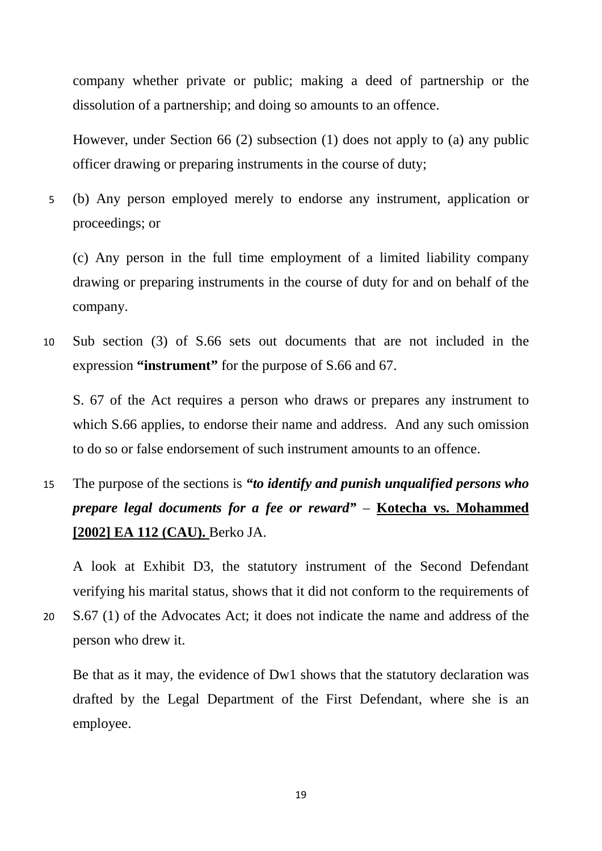company whether private or public; making a deed of partnership or the dissolution of a partnership; and doing so amounts to an offence.

However, under Section 66 (2) subsection (1) does not apply to (a) any public officer drawing or preparing instruments in the course of duty;

5 (b) Any person employed merely to endorse any instrument, application or proceedings; or

(c) Any person in the full time employment of a limited liability company drawing or preparing instruments in the course of duty for and on behalf of the company.

10 Sub section (3) of S.66 sets out documents that are not included in the expression **"instrument"** for the purpose of S.66 and 67.

S. 67 of the Act requires a person who draws or prepares any instrument to which S.66 applies, to endorse their name and address. And any such omission to do so or false endorsement of such instrument amounts to an offence.

15 The purpose of the sections is *"to identify and punish unqualified persons who prepare legal documents for a fee or reward"* – **Kotecha vs. Mohammed [2002] EA 112 (CAU).** Berko JA.

A look at Exhibit D3, the statutory instrument of the Second Defendant verifying his marital status, shows that it did not conform to the requirements of 20 S.67 (1) of the Advocates Act; it does not indicate the name and address of the person who drew it.

Be that as it may, the evidence of Dw1 shows that the statutory declaration was drafted by the Legal Department of the First Defendant, where she is an employee.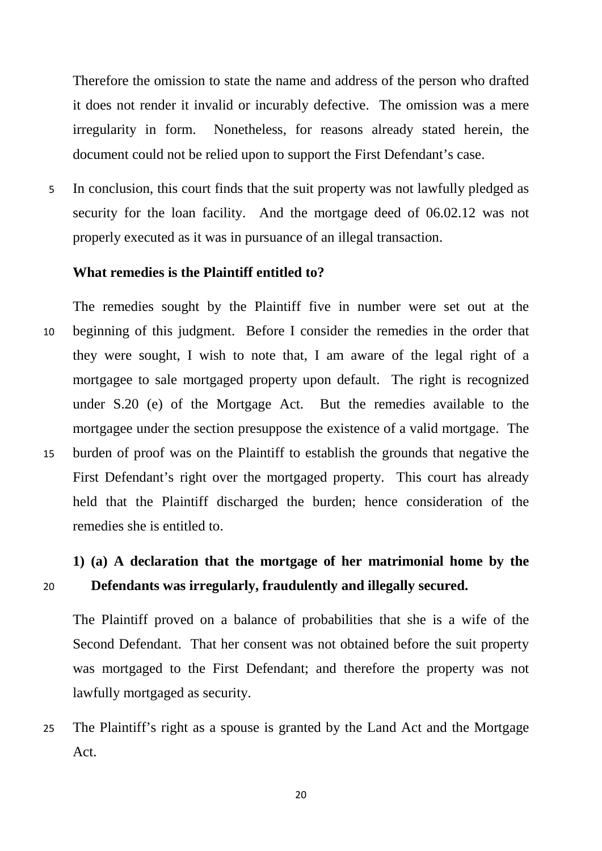Therefore the omission to state the name and address of the person who drafted it does not render it invalid or incurably defective. The omission was a mere irregularity in form. Nonetheless, for reasons already stated herein, the document could not be relied upon to support the First Defendant's case.

5 In conclusion, this court finds that the suit property was not lawfully pledged as security for the loan facility. And the mortgage deed of 06.02.12 was not properly executed as it was in pursuance of an illegal transaction.

### **What remedies is the Plaintiff entitled to?**

The remedies sought by the Plaintiff five in number were set out at the 10 beginning of this judgment. Before I consider the remedies in the order that they were sought, I wish to note that, I am aware of the legal right of a mortgagee to sale mortgaged property upon default. The right is recognized under S.20 (e) of the Mortgage Act. But the remedies available to the mortgagee under the section presuppose the existence of a valid mortgage. The 15 burden of proof was on the Plaintiff to establish the grounds that negative the First Defendant's right over the mortgaged property. This court has already held that the Plaintiff discharged the burden; hence consideration of the remedies she is entitled to.

# **1) (a) A declaration that the mortgage of her matrimonial home by the**  20 **Defendants was irregularly, fraudulently and illegally secured.**

The Plaintiff proved on a balance of probabilities that she is a wife of the Second Defendant. That her consent was not obtained before the suit property was mortgaged to the First Defendant; and therefore the property was not lawfully mortgaged as security.

25 The Plaintiff's right as a spouse is granted by the Land Act and the Mortgage Act.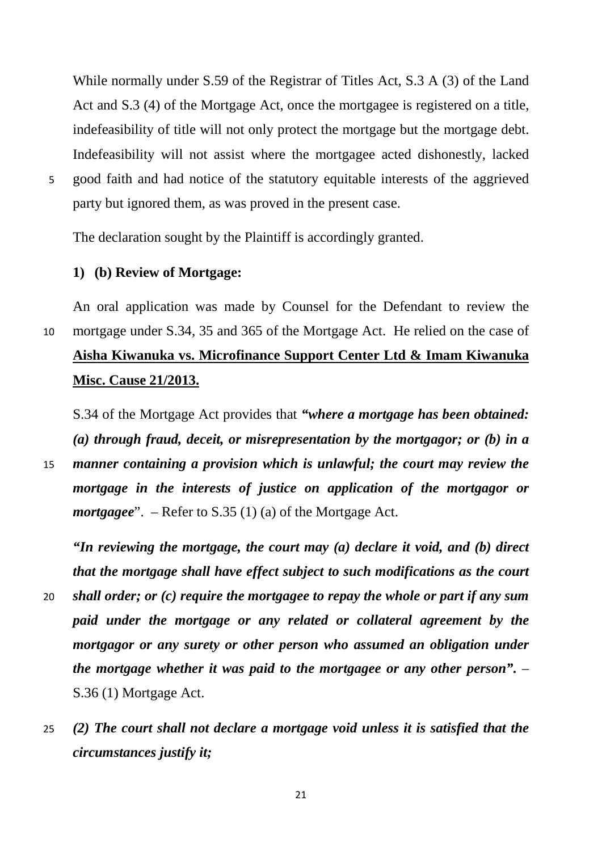While normally under S.59 of the Registrar of Titles Act, S.3 A (3) of the Land Act and S.3 (4) of the Mortgage Act, once the mortgagee is registered on a title, indefeasibility of title will not only protect the mortgage but the mortgage debt. Indefeasibility will not assist where the mortgagee acted dishonestly, lacked 5 good faith and had notice of the statutory equitable interests of the aggrieved party but ignored them, as was proved in the present case.

The declaration sought by the Plaintiff is accordingly granted.

### **1) (b) Review of Mortgage:**

An oral application was made by Counsel for the Defendant to review the 10 mortgage under S.34, 35 and 365 of the Mortgage Act. He relied on the case of **Aisha Kiwanuka vs. Microfinance Support Center Ltd & Imam Kiwanuka Misc. Cause 21/2013.**

S.34 of the Mortgage Act provides that *"where a mortgage has been obtained: (a) through fraud, deceit, or misrepresentation by the mortgagor; or (b) in a* 

15 *manner containing a provision which is unlawful; the court may review the mortgage in the interests of justice on application of the mortgagor or mortgagee*". – Refer to S.35 (1) (a) of the Mortgage Act.

*"In reviewing the mortgage, the court may (a) declare it void, and (b) direct that the mortgage shall have effect subject to such modifications as the court* 

- 20 *shall order; or (c) require the mortgagee to repay the whole or part if any sum paid under the mortgage or any related or collateral agreement by the mortgagor or any surety or other person who assumed an obligation under the mortgage whether it was paid to the mortgagee or any other person".* – S.36 (1) Mortgage Act.
- 25 *(2) The court shall not declare a mortgage void unless it is satisfied that the circumstances justify it;*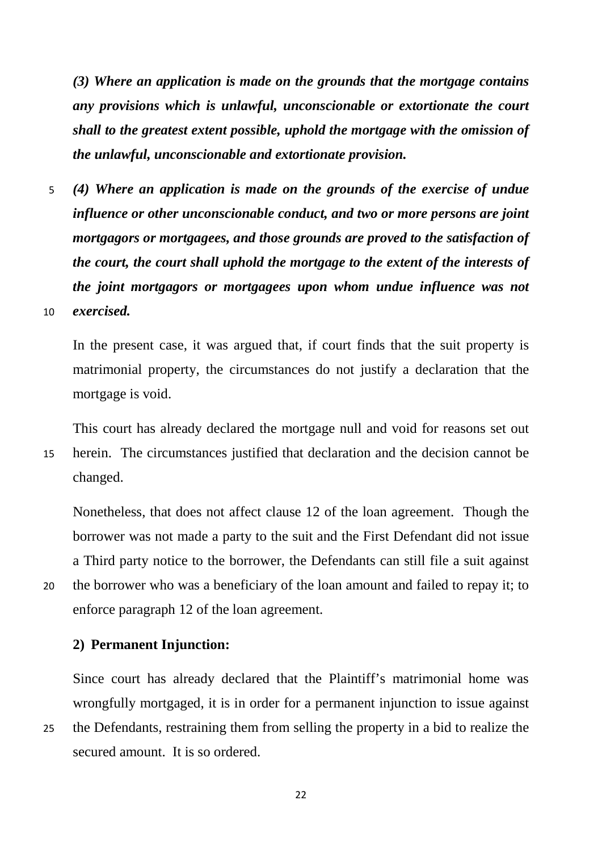*(3) Where an application is made on the grounds that the mortgage contains any provisions which is unlawful, unconscionable or extortionate the court shall to the greatest extent possible, uphold the mortgage with the omission of the unlawful, unconscionable and extortionate provision.*

5 *(4) Where an application is made on the grounds of the exercise of undue influence or other unconscionable conduct, and two or more persons are joint mortgagors or mortgagees, and those grounds are proved to the satisfaction of the court, the court shall uphold the mortgage to the extent of the interests of the joint mortgagors or mortgagees upon whom undue influence was not*  10 *exercised.*

In the present case, it was argued that, if court finds that the suit property is matrimonial property, the circumstances do not justify a declaration that the mortgage is void.

This court has already declared the mortgage null and void for reasons set out 15 herein. The circumstances justified that declaration and the decision cannot be changed.

Nonetheless, that does not affect clause 12 of the loan agreement. Though the borrower was not made a party to the suit and the First Defendant did not issue a Third party notice to the borrower, the Defendants can still file a suit against 20 the borrower who was a beneficiary of the loan amount and failed to repay it; to enforce paragraph 12 of the loan agreement.

#### **2) Permanent Injunction:**

Since court has already declared that the Plaintiff's matrimonial home was wrongfully mortgaged, it is in order for a permanent injunction to issue against 25 the Defendants, restraining them from selling the property in a bid to realize the secured amount. It is so ordered.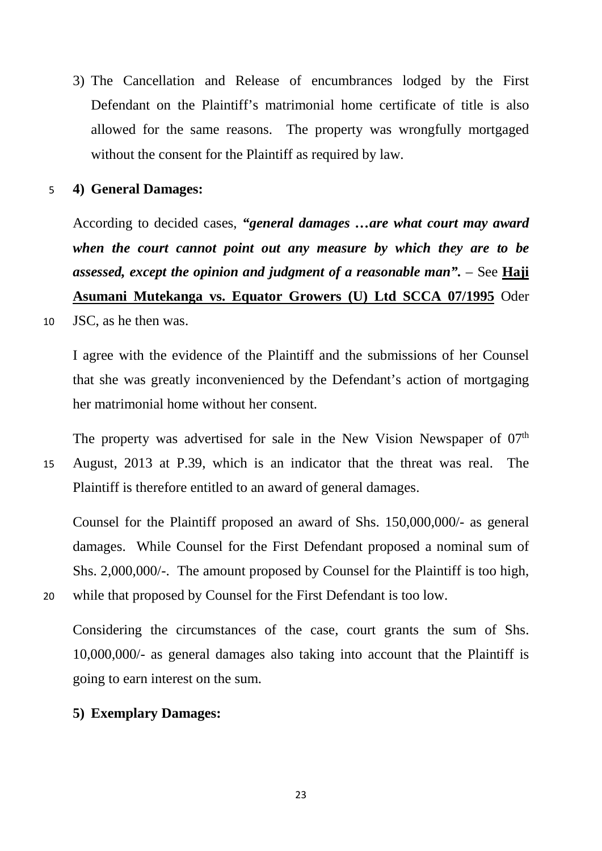3) The Cancellation and Release of encumbrances lodged by the First Defendant on the Plaintiff's matrimonial home certificate of title is also allowed for the same reasons. The property was wrongfully mortgaged without the consent for the Plaintiff as required by law.

5 **4) General Damages:**

According to decided cases, *"general damages …are what court may award when the court cannot point out any measure by which they are to be assessed, except the opinion and judgment of a reasonable man".* – See **Haji Asumani Mutekanga vs. Equator Growers (U) Ltd SCCA 07/1995** Oder

10 JSC, as he then was.

I agree with the evidence of the Plaintiff and the submissions of her Counsel that she was greatly inconvenienced by the Defendant's action of mortgaging her matrimonial home without her consent.

The property was advertised for sale in the New Vision Newspaper of  $07<sup>th</sup>$ 15 August, 2013 at P.39, which is an indicator that the threat was real. The Plaintiff is therefore entitled to an award of general damages.

Counsel for the Plaintiff proposed an award of Shs. 150,000,000/- as general damages. While Counsel for the First Defendant proposed a nominal sum of Shs. 2,000,000/-. The amount proposed by Counsel for the Plaintiff is too high, 20 while that proposed by Counsel for the First Defendant is too low.

Considering the circumstances of the case, court grants the sum of Shs. 10,000,000/- as general damages also taking into account that the Plaintiff is going to earn interest on the sum.

### **5) Exemplary Damages:**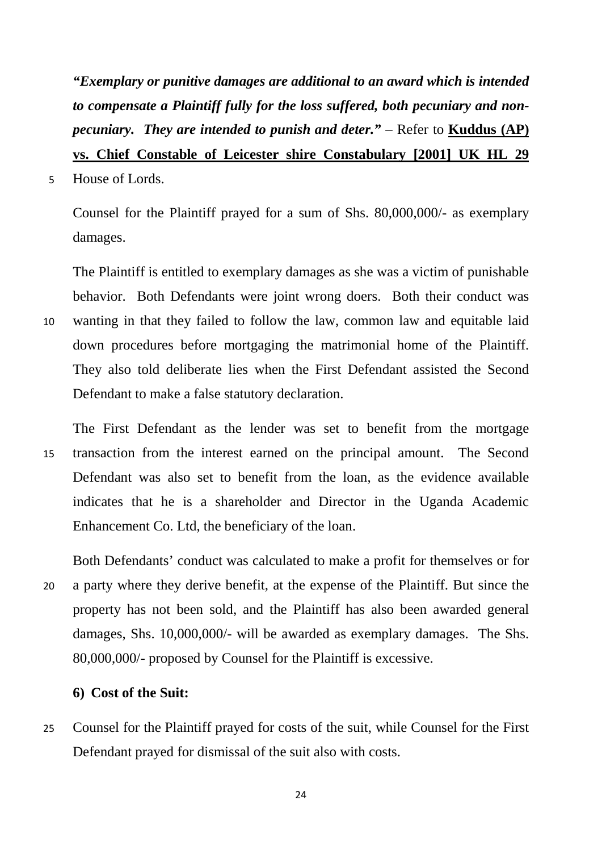*"Exemplary or punitive damages are additional to an award which is intended to compensate a Plaintiff fully for the loss suffered, both pecuniary and nonpecuniary. They are intended to punish and deter."* – Refer to **Kuddus (AP) vs. Chief Constable of Leicester shire Constabulary [2001] UK HL 29** 

5 House of Lords.

Counsel for the Plaintiff prayed for a sum of Shs. 80,000,000/- as exemplary damages.

The Plaintiff is entitled to exemplary damages as she was a victim of punishable behavior. Both Defendants were joint wrong doers. Both their conduct was 10 wanting in that they failed to follow the law, common law and equitable laid down procedures before mortgaging the matrimonial home of the Plaintiff. They also told deliberate lies when the First Defendant assisted the Second Defendant to make a false statutory declaration.

The First Defendant as the lender was set to benefit from the mortgage 15 transaction from the interest earned on the principal amount. The Second Defendant was also set to benefit from the loan, as the evidence available indicates that he is a shareholder and Director in the Uganda Academic Enhancement Co. Ltd, the beneficiary of the loan.

Both Defendants' conduct was calculated to make a profit for themselves or for 20 a party where they derive benefit, at the expense of the Plaintiff. But since the property has not been sold, and the Plaintiff has also been awarded general damages, Shs. 10,000,000/- will be awarded as exemplary damages. The Shs. 80,000,000/- proposed by Counsel for the Plaintiff is excessive.

### **6) Cost of the Suit:**

25 Counsel for the Plaintiff prayed for costs of the suit, while Counsel for the First Defendant prayed for dismissal of the suit also with costs.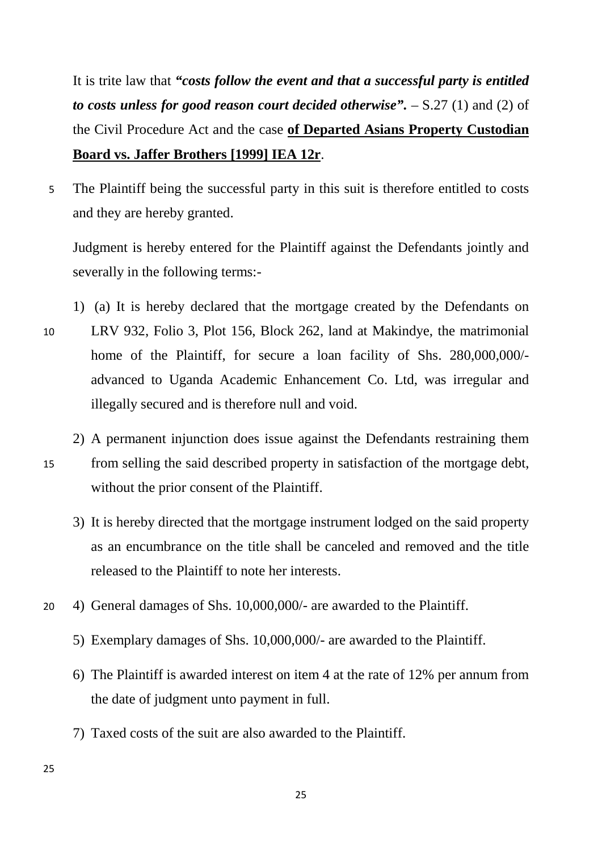It is trite law that *"costs follow the event and that a successful party is entitled to costs unless for good reason court decided otherwise".* – S.27 (1) and (2) of the Civil Procedure Act and the case **of Departed Asians Property Custodian Board vs. Jaffer Brothers [1999] IEA 12r**.

5 The Plaintiff being the successful party in this suit is therefore entitled to costs and they are hereby granted.

Judgment is hereby entered for the Plaintiff against the Defendants jointly and severally in the following terms:-

- 1) (a) It is hereby declared that the mortgage created by the Defendants on 10 LRV 932, Folio 3, Plot 156, Block 262, land at Makindye, the matrimonial home of the Plaintiff, for secure a loan facility of Shs. 280,000,000/ advanced to Uganda Academic Enhancement Co. Ltd, was irregular and illegally secured and is therefore null and void.
- 2) A permanent injunction does issue against the Defendants restraining them 15 from selling the said described property in satisfaction of the mortgage debt, without the prior consent of the Plaintiff.
	- 3) It is hereby directed that the mortgage instrument lodged on the said property as an encumbrance on the title shall be canceled and removed and the title released to the Plaintiff to note her interests.
- 20 4) General damages of Shs. 10,000,000/- are awarded to the Plaintiff.
	- 5) Exemplary damages of Shs. 10,000,000/- are awarded to the Plaintiff.
	- 6) The Plaintiff is awarded interest on item 4 at the rate of 12% per annum from the date of judgment unto payment in full.
	- 7) Taxed costs of the suit are also awarded to the Plaintiff.